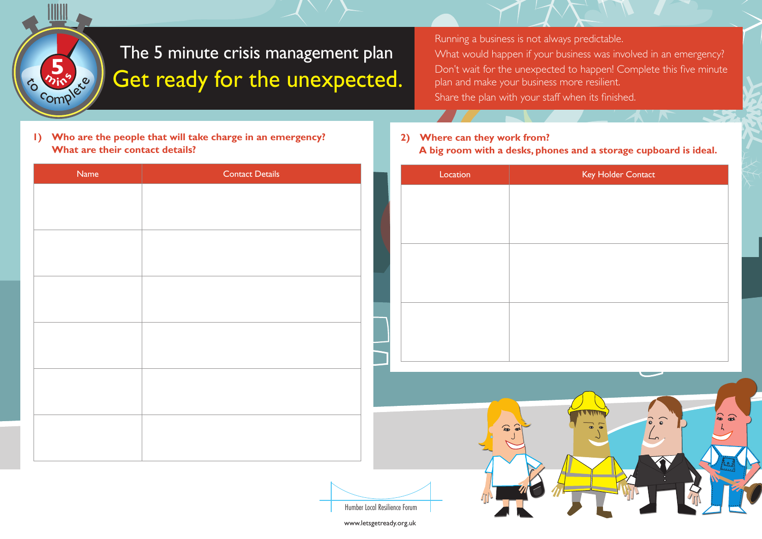

## The 5 minute crisis management plan Get ready for the unexpected.

Running a business is not always predictable. What would happen if your business was involved in an emergency? Don't wait for the unexpected to happen! Complete this five minute plan and make your business more resilient. Share the plan with your staff when its finished.

**1) Who are the people that will take charge in an emergency? What are their contact details?** 

## **2) Where can they work from? A big room with a desks, phones and a storage cupboard is ideal.**

| Name | <b>Contact Details</b> | Location | Key Holder Contact                                                                                                              |
|------|------------------------|----------|---------------------------------------------------------------------------------------------------------------------------------|
|      |                        |          |                                                                                                                                 |
|      |                        |          |                                                                                                                                 |
|      |                        |          |                                                                                                                                 |
|      |                        |          |                                                                                                                                 |
|      |                        |          |                                                                                                                                 |
|      |                        |          |                                                                                                                                 |
|      |                        |          |                                                                                                                                 |
|      |                        |          |                                                                                                                                 |
|      |                        |          |                                                                                                                                 |
|      |                        |          |                                                                                                                                 |
|      |                        |          | <b>TATTI</b><br>$\begin{pmatrix} 1 \\ 0 \\ 0 \\ 0 \end{pmatrix}$<br>$\begin{pmatrix} 1 & 0 \\ 0 & 0 \end{pmatrix}$<br>$\bullet$ |
|      |                        |          | $\mathbf{r}$<br>$\lfloor$                                                                                                       |
|      |                        |          | / T<br>$\blacktriangledown$                                                                                                     |

Humber Local Resilience Forum

www.letsgetready.org.uk